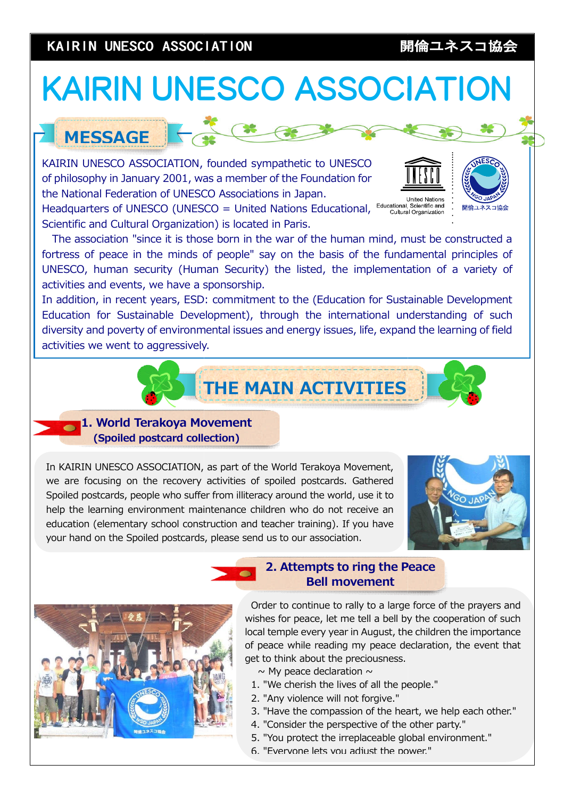# KAIRIN UNESCO ASSOCIATION

# KAIRIN UNESCO Association, founded sympathy in January 2001, was also philosophy in January 2001, was also philosophy in January 2001, was also philosophy in January 2001, was also philosophy in January 2001, was also phi KAIDIN LINES KAIRIN UNESCO ASSOCIATION **NetWorking Service SEASON**<br>**NetWorking SEASON**

# MESSAGE

KAIRIN UNESCO ASSOCIATION, founded sympathetic to UNESCO of philosophy in January 2001, was a member of the Foundation for the National Federation of UNESCO Associations in Japan. , founded sympathetic<br>vas a member of the Fc<br>iCO Associations in Jap<br>SCO = United Nations<br>ion) is located in Paris.

Headquarters of UNESCO (UNESCO = United Nations Educational, Scientific and Cultural Organization) is located in Paris.

The association "since it is those born in the war of the human mind, must be constructed a fortress of peace in the minds of people" say on the basis of the fundamental principles of UNESCO, human security (Human Security) the listed, the implementation of a variety of activities and events, we have a sponsorship. SECO ASSOCIATION<br>
SECO ASSOCIATION, founded sympathetic to UNESCO<br>
matrix 2001, was amendo for the foundation for<br>
NESCO (UNESCO = United Nations Educational, <sup>Conceptibility</sup> and<br>
MESCO (UNESCO = United Nations Educationa tress of peace in the minds of people" say on the basis of the fundamental principles of<br>ESCO, human security (Human Security) the listed, the implementation of a variety of<br>ivities and events, we have a sponsorship.<br>addit

In addition, in recent years, ESD: commitment to the (Education for Sustainable Development Education for Sustainable Development), through the international understanding of such diversity and poverty of environmental issues and energy issues, life, expand the learning of field poverty of activities we went to aggressively.

T THE MAIN ACTIVITIES



In KAIRIN UNESCO ASSOCIATION, as part of the World Terakoya Movement, we are focusing on the recovery activities of spoiled postcards. Gathered Spoiled postcards, people who suffer from illiteracy around the world, use it to help the learning environment maintenance children who do not receive an education (elementary school construction and teacher training). If you have your hand on the Spoiled postcards, please send us to our association.





### 2. Attempts to ring the Peace 2. Attempts ring the Bell movement

Order to continue to rally to a large force of the prayers and wishes for peace, let me tell a bell by the cooperation of such local temple every year in August, the children the importance of peace while reading my peace declaration, the event that get to think about the preciousness. is local temple every year in August, the children the import of peace while reading my peace declaration, the ever get to think about the preciousness.<br>  $\sim$  My peace declaration  $\sim$ <br>
1. "We cherish the lives of all the

- $\sim$  My peace declaration  $\sim$
- 1. "We cherish the lives of all the people."
- 2. "Any violence will not forgive."
- 3. "Have the compassion of the heart, we help each other."
- 4. "Consider the perspective of the other party."
- 5. "You protect the irreplaceable global environment."
- 6. "Everyone lets you adjust the power."